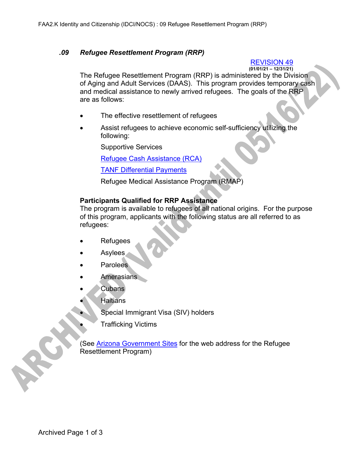## *.09 Refugee Resettlement Program (RRP)*

## REVISION 49

**(01/01/21 – 12/31/21)** The Refugee Resettlement Program (RRP) is administered by the Division of Aging and Adult Services (DAAS). This program provides temporary cash and medical assistance to newly arrived refugees. The goals of the RRP are as follows:

- The effective resettlement of refugees
- Assist refugees to achieve economic self-sufficiency utilizing the following:

Supportive Services

Refugee Cash Assistance (RCA)

TANF Differential Payments

Refugee Medical Assistance Program (RMAP)

## **Participants Qualified for RRP Assistance**

The program is available to refugees of all national origins. For the purpose of this program, applicants with the following status are all referred to as refugees:

- **Refugees**
- Asylees
- **Parolees**
- **Amerasians**
- Cubans
- **Haitians** 
	- Special Immigrant Visa (SIV) holders
		- Trafficking Victims

(See Arizona Government Sites for the web address for the Refugee Resettlement Program)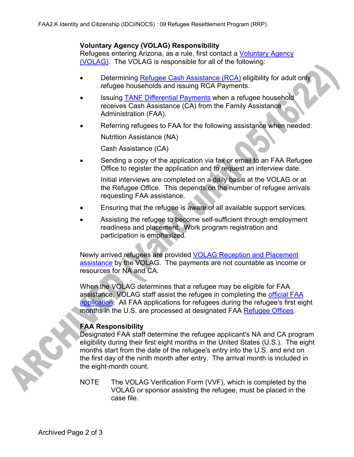### **Voluntary Agency (VOLAG) Responsibility**

Refugees entering Arizona, as a rule, first contact a Voluntary Agency (VOLAG). The VOLAG is responsible for all of the following:

- Determining Refugee Cash Assistance (RCA) eligibility for adult only refugee households and issuing RCA Payments.
- Issuing **TANF Differential Payments** when a refugee household receives Cash Assistance (CA) from the Family Assistance Administration (FAA).
- Referring refugees to FAA for the following assistance when needed: Nutrition Assistance (NA)

Cash Assistance (CA)

• Sending a copy of the application via fax or email to an FAA Refugee Office to register the application and to request an interview date.

Initial interviews are completed on a daily basis at the VOLAG or at the Refugee Office. This depends on the number of refugee arrivals requesting FAA assistance.

- Ensuring that the refugee is aware of all available support services.
- Assisting the refugee to become self-sufficient through employment readiness and placement. Work program registration and participation is emphasized.

Newly arrived refugees are provided VOLAG Reception and Placement assistance by the VOLAG. The payments are not countable as income or resources for NA and CA.

When the VOLAG determines that a refugee may be eligible for FAA assistance, VOLAG staff assist the refugee in completing the official FAA application. All FAA applications for refugees during the refugee's first eight months in the U.S. are processed at designated FAA Refugee Offices.

# **FAA Responsibility**

Designated FAA staff determine the refugee applicant's NA and CA program eligibility during their first eight months in the United States (U.S.). The eight months start from the date of the refugee's entry into the U.S. and end on the first day of the ninth month after entry. The arrival month is included in the eight-month count.

NOTE The VOLAG Verification Form (VVF), which is completed by the VOLAG or sponsor assisting the refugee, must be placed in the case file.